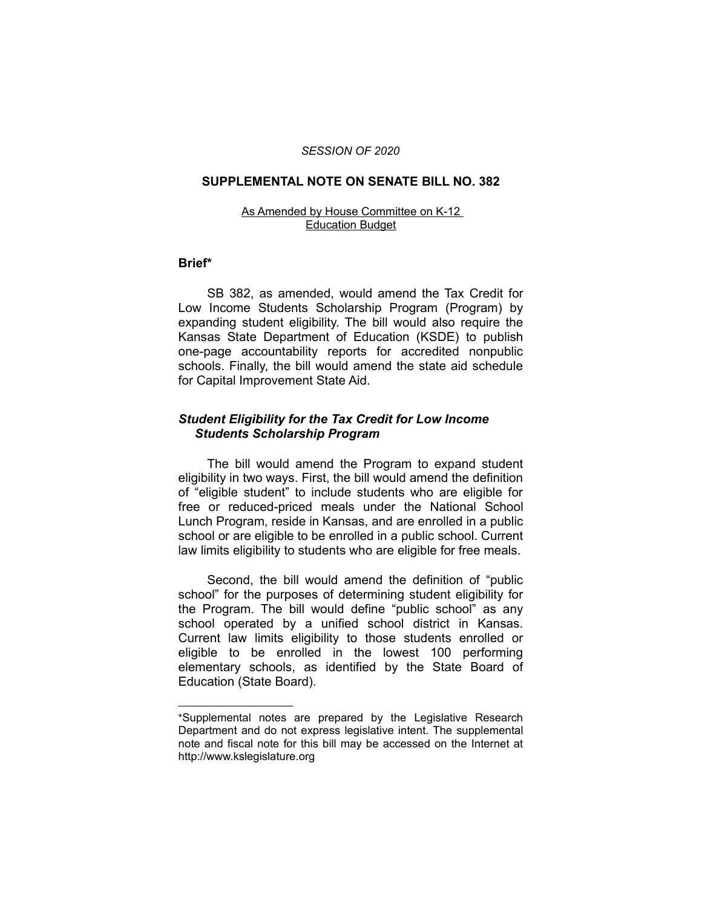#### *SESSION OF 2020*

#### **SUPPLEMENTAL NOTE ON SENATE BILL NO. 382**

#### As Amended by House Committee on K-12 Education Budget

### **Brief\***

SB 382, as amended, would amend the Tax Credit for Low Income Students Scholarship Program (Program) by expanding student eligibility. The bill would also require the Kansas State Department of Education (KSDE) to publish one-page accountability reports for accredited nonpublic schools. Finally, the bill would amend the state aid schedule for Capital Improvement State Aid.

# *Student Eligibility for the Tax Credit for Low Income Students Scholarship Program*

The bill would amend the Program to expand student eligibility in two ways. First, the bill would amend the definition of "eligible student" to include students who are eligible for free or reduced-priced meals under the National School Lunch Program, reside in Kansas, and are enrolled in a public school or are eligible to be enrolled in a public school. Current law limits eligibility to students who are eligible for free meals.

Second, the bill would amend the definition of "public school" for the purposes of determining student eligibility for the Program. The bill would define "public school" as any school operated by a unified school district in Kansas. Current law limits eligibility to those students enrolled or eligible to be enrolled in the lowest 100 performing elementary schools, as identified by the State Board of Education (State Board).

 $\overline{\phantom{a}}$  , where  $\overline{\phantom{a}}$  , where  $\overline{\phantom{a}}$ 

<sup>\*</sup>Supplemental notes are prepared by the Legislative Research Department and do not express legislative intent. The supplemental note and fiscal note for this bill may be accessed on the Internet at http://www.kslegislature.org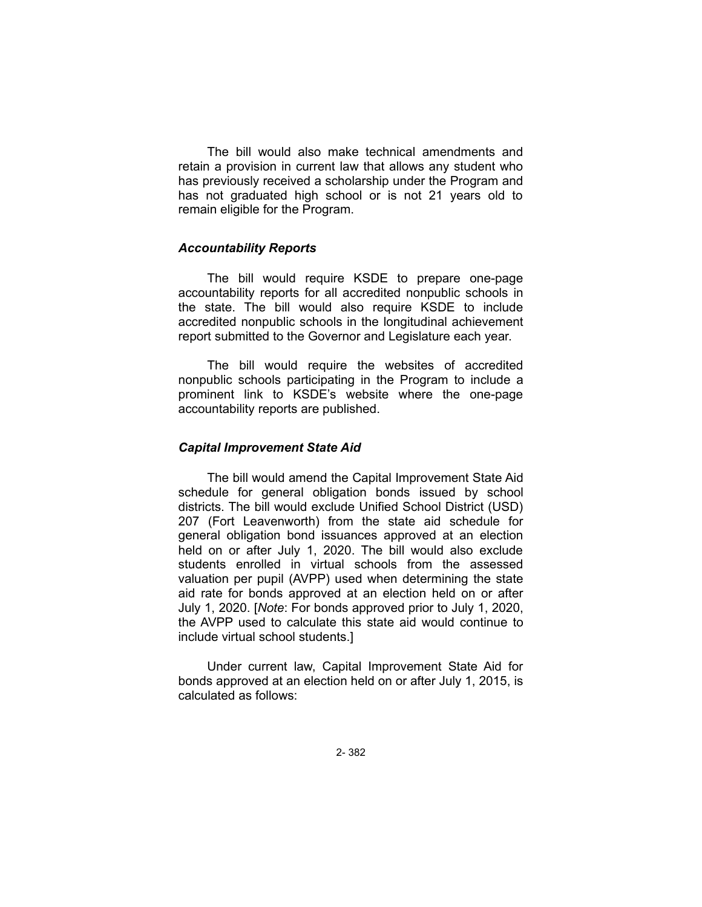The bill would also make technical amendments and retain a provision in current law that allows any student who has previously received a scholarship under the Program and has not graduated high school or is not 21 years old to remain eligible for the Program.

### *Accountability Reports*

The bill would require KSDE to prepare one-page accountability reports for all accredited nonpublic schools in the state. The bill would also require KSDE to include accredited nonpublic schools in the longitudinal achievement report submitted to the Governor and Legislature each year.

The bill would require the websites of accredited nonpublic schools participating in the Program to include a prominent link to KSDE's website where the one-page accountability reports are published.

### *Capital Improvement State Aid*

The bill would amend the Capital Improvement State Aid schedule for general obligation bonds issued by school districts. The bill would exclude Unified School District (USD) 207 (Fort Leavenworth) from the state aid schedule for general obligation bond issuances approved at an election held on or after July 1, 2020. The bill would also exclude students enrolled in virtual schools from the assessed valuation per pupil (AVPP) used when determining the state aid rate for bonds approved at an election held on or after July 1, 2020. [*Note*: For bonds approved prior to July 1, 2020, the AVPP used to calculate this state aid would continue to include virtual school students.]

Under current law, Capital Improvement State Aid for bonds approved at an election held on or after July 1, 2015, is calculated as follows: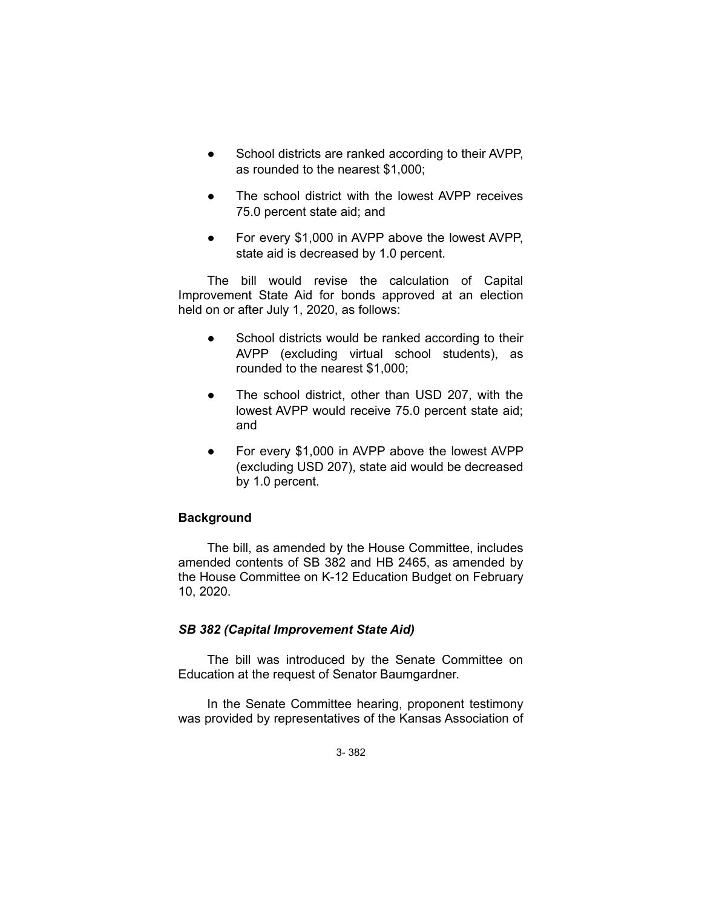- School districts are ranked according to their AVPP, as rounded to the nearest \$1,000;
- The school district with the lowest AVPP receives 75.0 percent state aid; and
- For every \$1,000 in AVPP above the lowest AVPP, state aid is decreased by 1.0 percent.

The bill would revise the calculation of Capital Improvement State Aid for bonds approved at an election held on or after July 1, 2020, as follows:

- School districts would be ranked according to their AVPP (excluding virtual school students), as rounded to the nearest \$1,000;
- The school district, other than USD 207, with the lowest AVPP would receive 75.0 percent state aid; and
- For every \$1,000 in AVPP above the lowest AVPP (excluding USD 207), state aid would be decreased by 1.0 percent.

# **Background**

The bill, as amended by the House Committee, includes amended contents of SB 382 and HB 2465, as amended by the House Committee on K-12 Education Budget on February 10, 2020.

# *SB 382 (Capital Improvement State Aid)*

The bill was introduced by the Senate Committee on Education at the request of Senator Baumgardner.

In the Senate Committee hearing, proponent testimony was provided by representatives of the Kansas Association of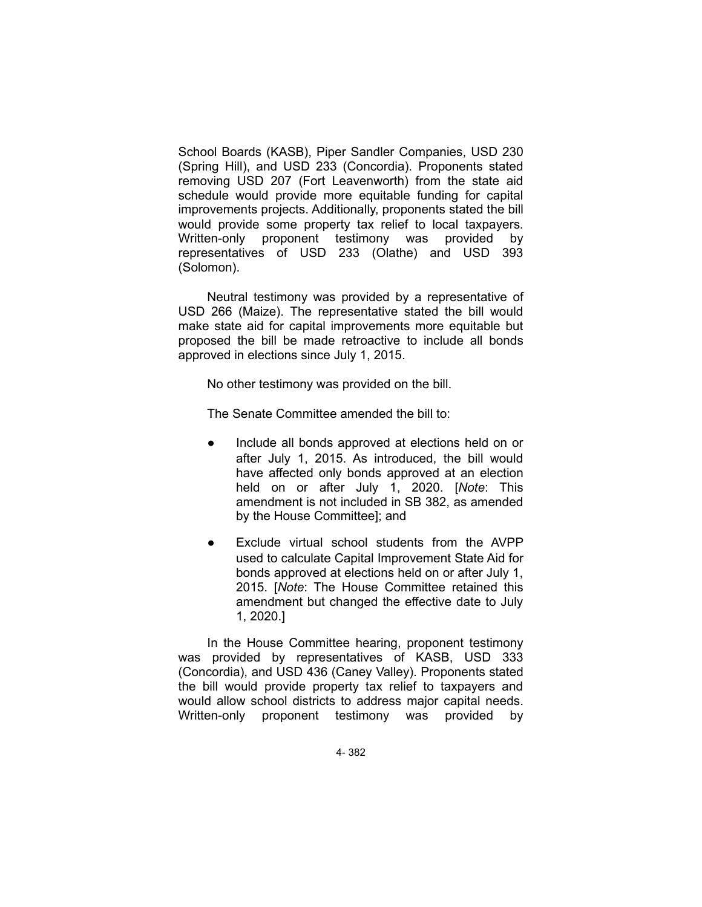School Boards (KASB), Piper Sandler Companies, USD 230 (Spring Hill), and USD 233 (Concordia). Proponents stated removing USD 207 (Fort Leavenworth) from the state aid schedule would provide more equitable funding for capital improvements projects. Additionally, proponents stated the bill would provide some property tax relief to local taxpayers. Written-only proponent testimony was provided by representatives of USD 233 (Olathe) and USD 393 (Solomon).

Neutral testimony was provided by a representative of USD 266 (Maize). The representative stated the bill would make state aid for capital improvements more equitable but proposed the bill be made retroactive to include all bonds approved in elections since July 1, 2015.

No other testimony was provided on the bill.

The Senate Committee amended the bill to:

- Include all bonds approved at elections held on or after July 1, 2015. As introduced, the bill would have affected only bonds approved at an election held on or after July 1, 2020. [*Note*: This amendment is not included in SB 382, as amended by the House Committee]; and
- Exclude virtual school students from the AVPP used to calculate Capital Improvement State Aid for bonds approved at elections held on or after July 1, 2015. [*Note*: The House Committee retained this amendment but changed the effective date to July 1, 2020.]

In the House Committee hearing, proponent testimony was provided by representatives of KASB, USD 333 (Concordia), and USD 436 (Caney Valley). Proponents stated the bill would provide property tax relief to taxpayers and would allow school districts to address major capital needs. Written-only proponent testimony was provided by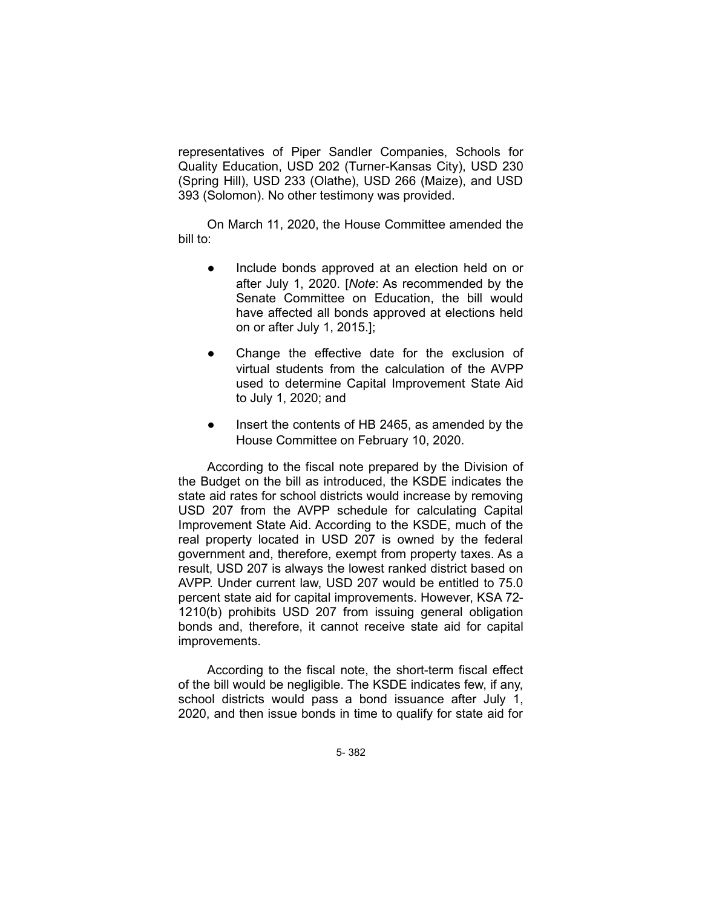representatives of Piper Sandler Companies, Schools for Quality Education, USD 202 (Turner-Kansas City), USD 230 (Spring Hill), USD 233 (Olathe), USD 266 (Maize), and USD 393 (Solomon). No other testimony was provided.

On March 11, 2020, the House Committee amended the bill to:

- Include bonds approved at an election held on or after July 1, 2020. [*Note*: As recommended by the Senate Committee on Education, the bill would have affected all bonds approved at elections held on or after July 1, 2015.];
- Change the effective date for the exclusion of virtual students from the calculation of the AVPP used to determine Capital Improvement State Aid to July 1, 2020; and
- Insert the contents of HB 2465, as amended by the House Committee on February 10, 2020.

According to the fiscal note prepared by the Division of the Budget on the bill as introduced, the KSDE indicates the state aid rates for school districts would increase by removing USD 207 from the AVPP schedule for calculating Capital Improvement State Aid. According to the KSDE, much of the real property located in USD 207 is owned by the federal government and, therefore, exempt from property taxes. As a result, USD 207 is always the lowest ranked district based on AVPP. Under current law, USD 207 would be entitled to 75.0 percent state aid for capital improvements. However, KSA 72- 1210(b) prohibits USD 207 from issuing general obligation bonds and, therefore, it cannot receive state aid for capital improvements.

According to the fiscal note, the short-term fiscal effect of the bill would be negligible. The KSDE indicates few, if any, school districts would pass a bond issuance after July 1, 2020, and then issue bonds in time to qualify for state aid for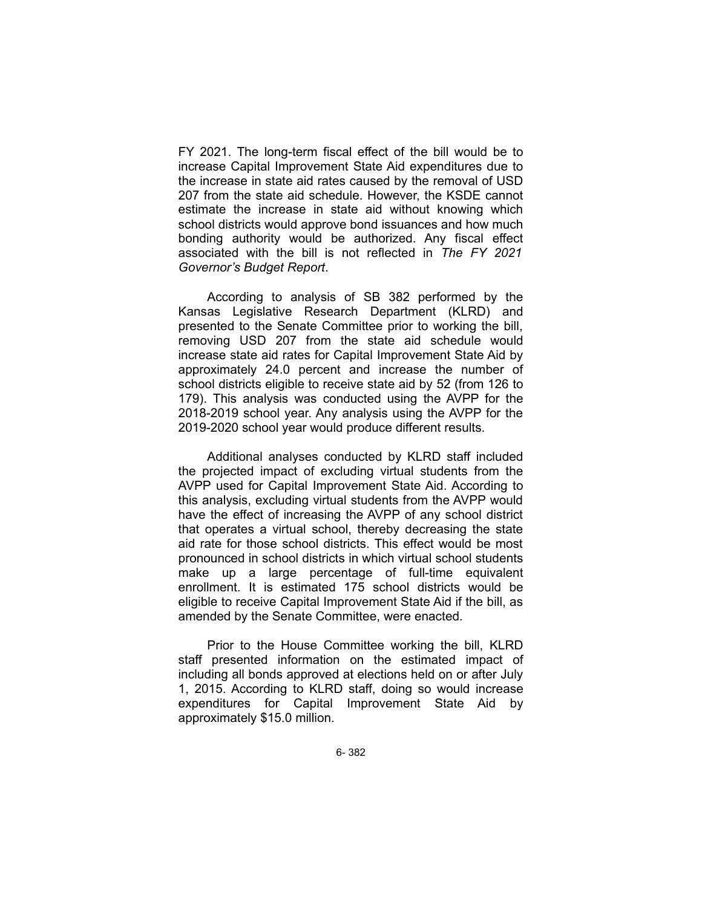FY 2021. The long-term fiscal effect of the bill would be to increase Capital Improvement State Aid expenditures due to the increase in state aid rates caused by the removal of USD 207 from the state aid schedule. However, the KSDE cannot estimate the increase in state aid without knowing which school districts would approve bond issuances and how much bonding authority would be authorized. Any fiscal effect associated with the bill is not reflected in *The FY 2021 Governor's Budget Report*.

According to analysis of SB 382 performed by the Kansas Legislative Research Department (KLRD) and presented to the Senate Committee prior to working the bill, removing USD 207 from the state aid schedule would increase state aid rates for Capital Improvement State Aid by approximately 24.0 percent and increase the number of school districts eligible to receive state aid by 52 (from 126 to 179). This analysis was conducted using the AVPP for the 2018-2019 school year. Any analysis using the AVPP for the 2019-2020 school year would produce different results.

Additional analyses conducted by KLRD staff included the projected impact of excluding virtual students from the AVPP used for Capital Improvement State Aid. According to this analysis, excluding virtual students from the AVPP would have the effect of increasing the AVPP of any school district that operates a virtual school, thereby decreasing the state aid rate for those school districts. This effect would be most pronounced in school districts in which virtual school students make up a large percentage of full-time equivalent enrollment. It is estimated 175 school districts would be eligible to receive Capital Improvement State Aid if the bill, as amended by the Senate Committee, were enacted.

Prior to the House Committee working the bill, KLRD staff presented information on the estimated impact of including all bonds approved at elections held on or after July 1, 2015. According to KLRD staff, doing so would increase expenditures for Capital Improvement State Aid by approximately \$15.0 million.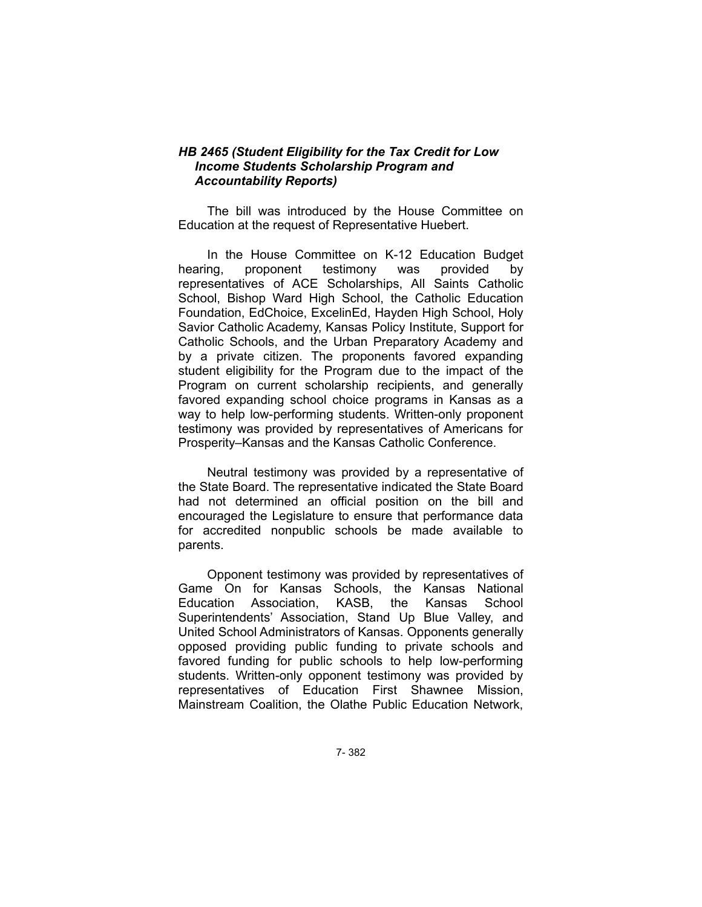### *HB 2465 (Student Eligibility for the Tax Credit for Low Income Students Scholarship Program and Accountability Reports)*

The bill was introduced by the House Committee on Education at the request of Representative Huebert.

In the House Committee on K-12 Education Budget hearing, proponent testimony was provided by representatives of ACE Scholarships, All Saints Catholic School, Bishop Ward High School, the Catholic Education Foundation, EdChoice, ExcelinEd, Hayden High School, Holy Savior Catholic Academy, Kansas Policy Institute, Support for Catholic Schools, and the Urban Preparatory Academy and by a private citizen. The proponents favored expanding student eligibility for the Program due to the impact of the Program on current scholarship recipients, and generally favored expanding school choice programs in Kansas as a way to help low-performing students. Written-only proponent testimony was provided by representatives of Americans for Prosperity–Kansas and the Kansas Catholic Conference.

Neutral testimony was provided by a representative of the State Board. The representative indicated the State Board had not determined an official position on the bill and encouraged the Legislature to ensure that performance data for accredited nonpublic schools be made available to parents.

Opponent testimony was provided by representatives of Game On for Kansas Schools, the Kansas National Education Association, KASB, the Kansas School Superintendents' Association, Stand Up Blue Valley, and United School Administrators of Kansas. Opponents generally opposed providing public funding to private schools and favored funding for public schools to help low-performing students. Written-only opponent testimony was provided by representatives of Education First Shawnee Mission, Mainstream Coalition, the Olathe Public Education Network,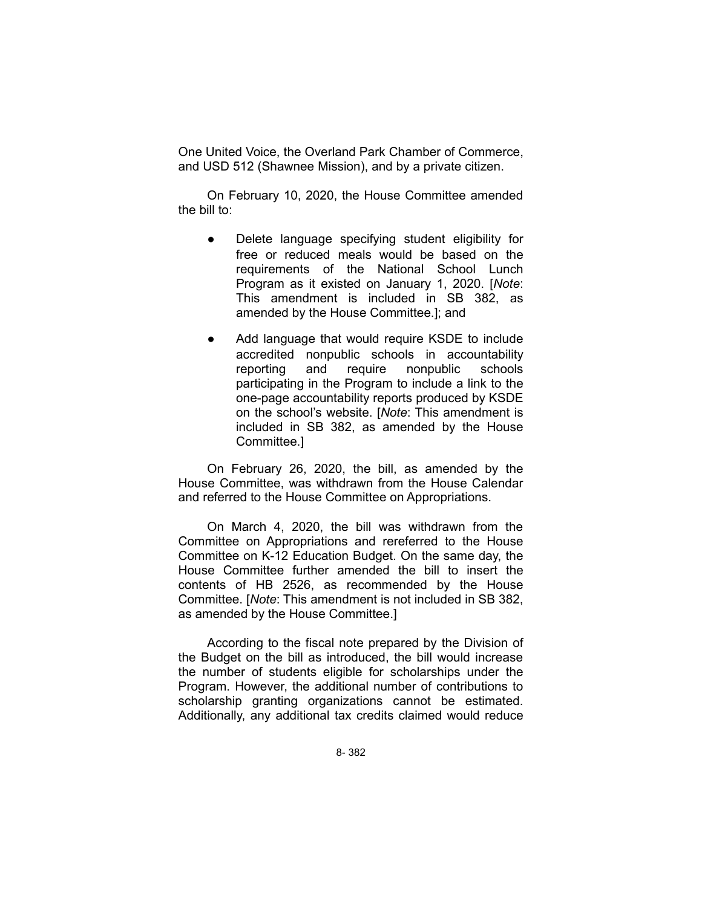One United Voice, the Overland Park Chamber of Commerce, and USD 512 (Shawnee Mission), and by a private citizen.

On February 10, 2020, the House Committee amended the bill to:

- Delete language specifying student eligibility for free or reduced meals would be based on the requirements of the National School Lunch Program as it existed on January 1, 2020. [*Note*: This amendment is included in SB 382, as amended by the House Committee.]; and
- Add language that would require KSDE to include accredited nonpublic schools in accountability reporting and require nonpublic schools participating in the Program to include a link to the one-page accountability reports produced by KSDE on the school's website. [*Note*: This amendment is included in SB 382, as amended by the House Committee.]

On February 26, 2020, the bill, as amended by the House Committee, was withdrawn from the House Calendar and referred to the House Committee on Appropriations.

On March 4, 2020, the bill was withdrawn from the Committee on Appropriations and rereferred to the House Committee on K-12 Education Budget. On the same day, the House Committee further amended the bill to insert the contents of HB 2526, as recommended by the House Committee. [*Note*: This amendment is not included in SB 382, as amended by the House Committee.]

According to the fiscal note prepared by the Division of the Budget on the bill as introduced, the bill would increase the number of students eligible for scholarships under the Program. However, the additional number of contributions to scholarship granting organizations cannot be estimated. Additionally, any additional tax credits claimed would reduce